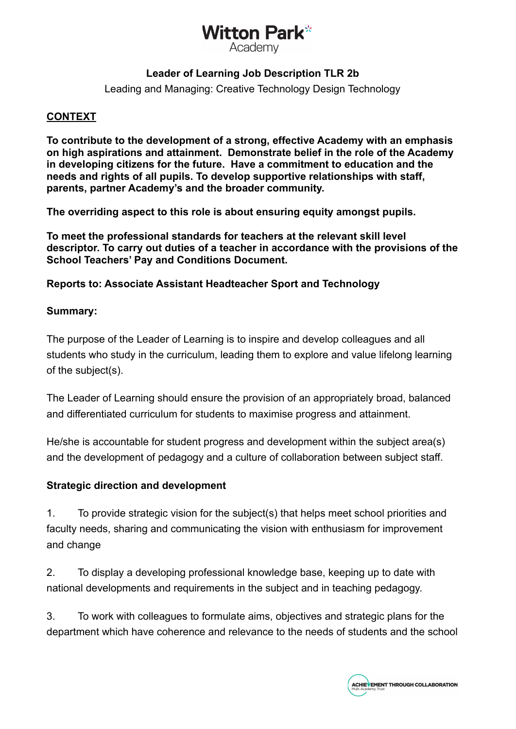### Witton Park\* Academv

#### **Leader of Learning Job Description TLR 2b**

Leading and Managing: Creative Technology Design Technology

#### **CONTEXT**

**To contribute to the development of a strong, effective Academy with an emphasis on high aspirations and attainment. Demonstrate belief in the role of the Academy in developing citizens for the future. Have a commitment to education and the needs and rights of all pupils. To develop supportive relationships with staff, parents, partner Academy's and the broader community.**

**The overriding aspect to this role is about ensuring equity amongst pupils.**

**To meet the professional standards for teachers at the relevant skill level descriptor. To carry out duties of a teacher in accordance with the provisions of the School Teachers' Pay and Conditions Document.**

#### **Reports to: Associate Assistant Headteacher Sport and Technology**

#### **Summary:**

The purpose of the Leader of Learning is to inspire and develop colleagues and all students who study in the curriculum, leading them to explore and value lifelong learning of the subject(s).

The Leader of Learning should ensure the provision of an appropriately broad, balanced and differentiated curriculum for students to maximise progress and attainment.

He/she is accountable for student progress and development within the subject area(s) and the development of pedagogy and a culture of collaboration between subject staff.

#### **Strategic direction and development**

1. To provide strategic vision for the subject(s) that helps meet school priorities and faculty needs, sharing and communicating the vision with enthusiasm for improvement and change

2. To display a developing professional knowledge base, keeping up to date with national developments and requirements in the subject and in teaching pedagogy.

3. To work with colleagues to formulate aims, objectives and strategic plans for the department which have coherence and relevance to the needs of students and the school

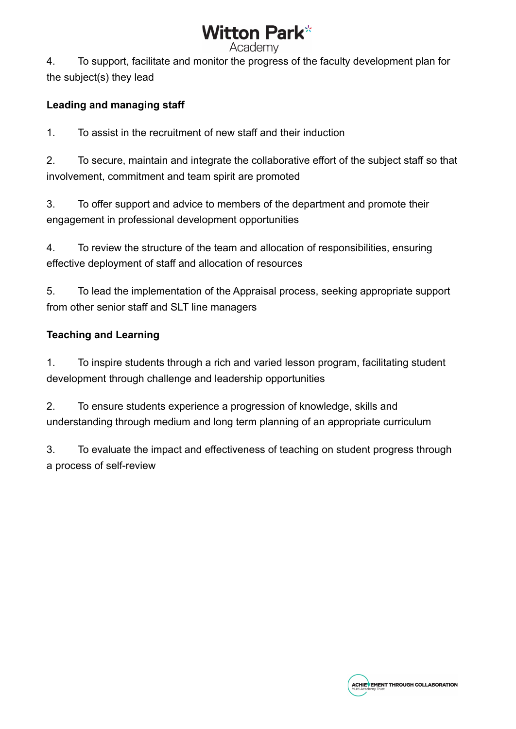# Witton Park\*

4. To support, facilitate and monitor the progress of the faculty development plan for the subject(s) they lead

#### **Leading and managing staff**

1. To assist in the recruitment of new staff and their induction

2. To secure, maintain and integrate the collaborative effort of the subject staff so that involvement, commitment and team spirit are promoted

3. To offer support and advice to members of the department and promote their engagement in professional development opportunities

4. To review the structure of the team and allocation of responsibilities, ensuring effective deployment of staff and allocation of resources

5. To lead the implementation of the Appraisal process, seeking appropriate support from other senior staff and SLT line managers

#### **Teaching and Learning**

1. To inspire students through a rich and varied lesson program, facilitating student development through challenge and leadership opportunities

2. To ensure students experience a progression of knowledge, skills and understanding through medium and long term planning of an appropriate curriculum

3. To evaluate the impact and effectiveness of teaching on student progress through a process of self-review

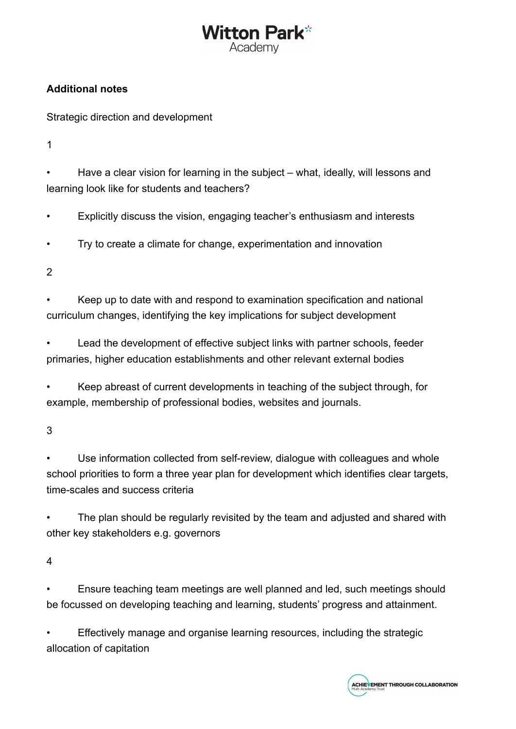# Vitton Park\* Academv

#### **Additional notes**

Strategic direction and development

1

• Have a clear vision for learning in the subject – what, ideally, will lessons and learning look like for students and teachers?

• Explicitly discuss the vision, engaging teacher's enthusiasm and interests

• Try to create a climate for change, experimentation and innovation

2

• Keep up to date with and respond to examination specification and national curriculum changes, identifying the key implications for subject development

Lead the development of effective subject links with partner schools, feeder primaries, higher education establishments and other relevant external bodies

• Keep abreast of current developments in teaching of the subject through, for example, membership of professional bodies, websites and journals.

3

Use information collected from self-review, dialogue with colleagues and whole school priorities to form a three year plan for development which identifies clear targets, time-scales and success criteria

The plan should be regularly revisited by the team and adjusted and shared with other key stakeholders e.g. governors

4

• Ensure teaching team meetings are well planned and led, such meetings should be focussed on developing teaching and learning, students' progress and attainment.

• Effectively manage and organise learning resources, including the strategic allocation of capitation

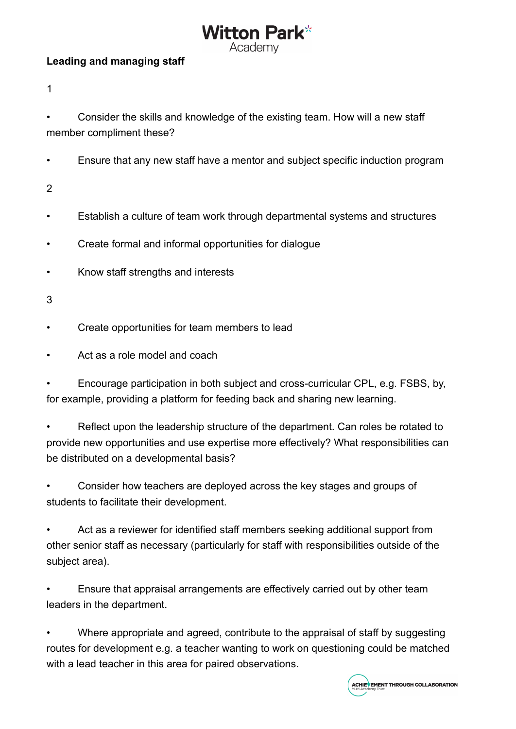## Vitton Park\* Academv

#### **Leading and managing staff**

1

• Consider the skills and knowledge of the existing team. How will a new staff member compliment these?

• Ensure that any new staff have a mentor and subject specific induction program

2

- Establish a culture of team work through departmental systems and structures
- Create formal and informal opportunities for dialogue
- Know staff strengths and interests

3

- Create opportunities for team members to lead
- Act as a role model and coach

• Encourage participation in both subject and cross-curricular CPL, e.g. FSBS, by, for example, providing a platform for feeding back and sharing new learning.

• Reflect upon the leadership structure of the department. Can roles be rotated to provide new opportunities and use expertise more effectively? What responsibilities can be distributed on a developmental basis?

• Consider how teachers are deployed across the key stages and groups of students to facilitate their development.

Act as a reviewer for identified staff members seeking additional support from other senior staff as necessary (particularly for staff with responsibilities outside of the subject area).

• Ensure that appraisal arrangements are effectively carried out by other team leaders in the department.

• Where appropriate and agreed, contribute to the appraisal of staff by suggesting routes for development e.g. a teacher wanting to work on questioning could be matched with a lead teacher in this area for paired observations.

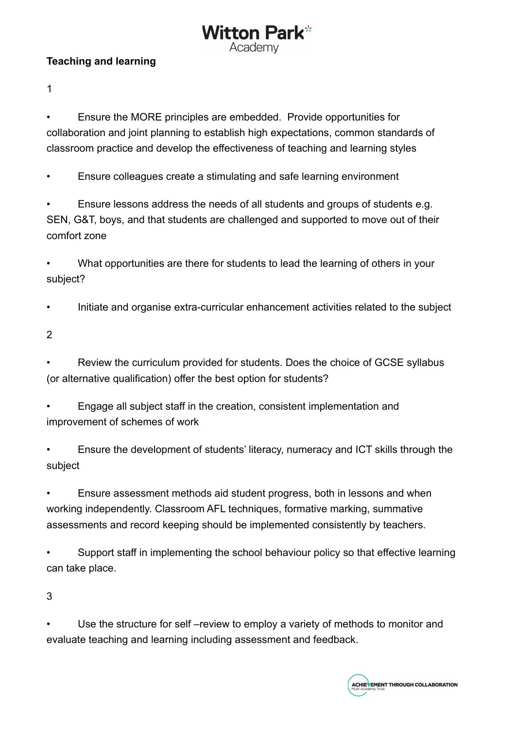#### **Teaching and learning**

1

• Ensure the MORE principles are embedded. Provide opportunities for collaboration and joint planning to establish high expectations, common standards of classroom practice and develop the effectiveness of teaching and learning styles

Vitton Park\* Academv

• Ensure colleagues create a stimulating and safe learning environment

• Ensure lessons address the needs of all students and groups of students e.g. SEN, G&T, boys, and that students are challenged and supported to move out of their comfort zone

• What opportunities are there for students to lead the learning of others in your subject?

• Initiate and organise extra-curricular enhancement activities related to the subject

2

• Review the curriculum provided for students. Does the choice of GCSE syllabus (or alternative qualification) offer the best option for students?

• Engage all subject staff in the creation, consistent implementation and improvement of schemes of work

• Ensure the development of students' literacy, numeracy and ICT skills through the subject

• Ensure assessment methods aid student progress, both in lessons and when working independently. Classroom AFL techniques, formative marking, summative assessments and record keeping should be implemented consistently by teachers.

Support staff in implementing the school behaviour policy so that effective learning can take place.

3

Use the structure for self-review to employ a variety of methods to monitor and evaluate teaching and learning including assessment and feedback.